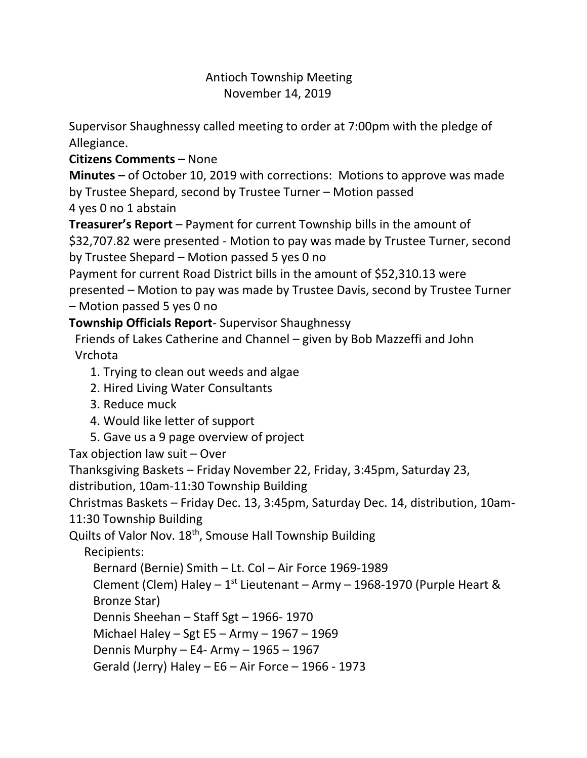## Antioch Township Meeting November 14, 2019

Supervisor Shaughnessy called meeting to order at 7:00pm with the pledge of Allegiance.

## **Citizens Comments –** None

**Minutes –** of October 10, 2019 with corrections: Motions to approve was made by Trustee Shepard, second by Trustee Turner – Motion passed 4 yes 0 no 1 abstain

**Treasurer's Report** – Payment for current Township bills in the amount of \$32,707.82 were presented - Motion to pay was made by Trustee Turner, second by Trustee Shepard – Motion passed 5 yes 0 no

Payment for current Road District bills in the amount of \$52,310.13 were presented – Motion to pay was made by Trustee Davis, second by Trustee Turner – Motion passed 5 yes 0 no

## **Township Officials Report**- Supervisor Shaughnessy

 Friends of Lakes Catherine and Channel – given by Bob Mazzeffi and John Vrchota

- 1. Trying to clean out weeds and algae
- 2. Hired Living Water Consultants
- 3. Reduce muck
- 4. Would like letter of support
- 5. Gave us a 9 page overview of project

Tax objection law suit – Over

Thanksgiving Baskets – Friday November 22, Friday, 3:45pm, Saturday 23,

distribution, 10am-11:30 Township Building

Christmas Baskets – Friday Dec. 13, 3:45pm, Saturday Dec. 14, distribution, 10am-

11:30 Township Building

Quilts of Valor Nov. 18<sup>th</sup>, Smouse Hall Township Building

Recipients:

Bernard (Bernie) Smith – Lt. Col – Air Force 1969-1989

Clement (Clem) Haley – 1<sup>st</sup> Lieutenant – Army – 1968-1970 (Purple Heart &

Bronze Star)

Dennis Sheehan – Staff Sgt – 1966- 1970

Michael Haley – Sgt E5 – Army – 1967 – 1969

Dennis Murphy – E4- Army – 1965 – 1967

Gerald (Jerry) Haley – E6 – Air Force – 1966 - 1973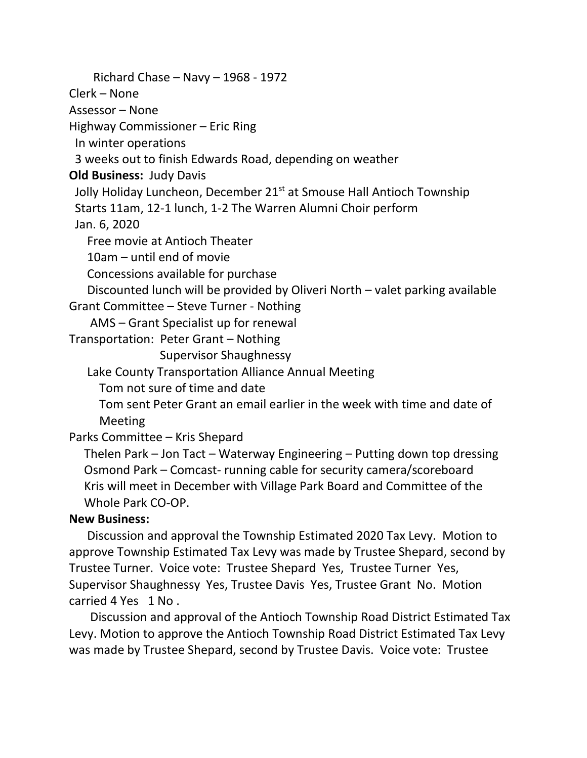Richard Chase – Navy – 1968 - 1972 Clerk – None Assessor – None Highway Commissioner – Eric Ring In winter operations 3 weeks out to finish Edwards Road, depending on weather **Old Business:** Judy Davis Jolly Holiday Luncheon, December 21<sup>st</sup> at Smouse Hall Antioch Township Starts 11am, 12-1 lunch, 1-2 The Warren Alumni Choir perform Jan. 6, 2020 Free movie at Antioch Theater 10am – until end of movie Concessions available for purchase Discounted lunch will be provided by Oliveri North – valet parking available Grant Committee – Steve Turner - Nothing AMS – Grant Specialist up for renewal Transportation: Peter Grant – Nothing Supervisor Shaughnessy Lake County Transportation Alliance Annual Meeting Tom not sure of time and date Tom sent Peter Grant an email earlier in the week with time and date of Meeting Parks Committee – Kris Shepard Thelen Park – Jon Tact – Waterway Engineering – Putting down top dressing Osmond Park – Comcast- running cable for security camera/scoreboard Kris will meet in December with Village Park Board and Committee of the Whole Park CO-OP. **New Business:** 

 Discussion and approval the Township Estimated 2020 Tax Levy. Motion to approve Township Estimated Tax Levy was made by Trustee Shepard, second by Trustee Turner. Voice vote: Trustee Shepard Yes, Trustee Turner Yes, Supervisor Shaughnessy Yes, Trustee Davis Yes, Trustee Grant No. Motion carried 4 Yes 1 No .

 Discussion and approval of the Antioch Township Road District Estimated Tax Levy. Motion to approve the Antioch Township Road District Estimated Tax Levy was made by Trustee Shepard, second by Trustee Davis. Voice vote: Trustee